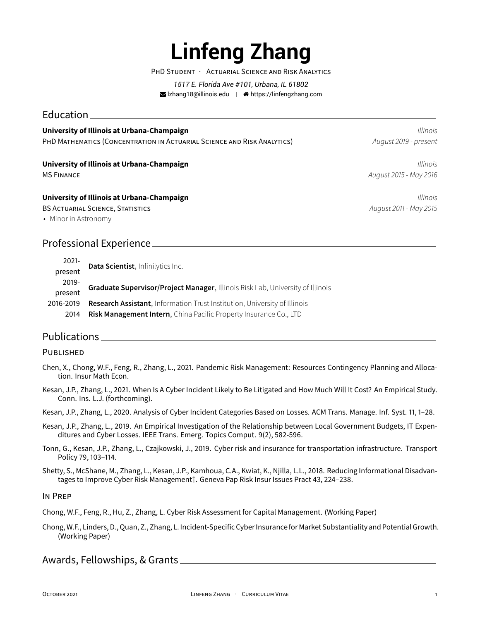# **Linfeng Zhang**

PHD STUDENT · ACTUARIAL SCIENCE AND RISK ANALYTICS

*1517 E. Florida Ave #101, Urbana, IL 61802* lzhang18@illinois.edu | https://linfengzhang.com

## Education

#### **University of Illinois at Urbana-Champaign** *Illinois*

PHD MATHEMATICS (CONCENTRATION IN ACTUARIAL SCIENCE AND RISK ANALYTICS) *August 2019 - present*

#### **University of Illinois at Urbana-Champaign** *Illinois*

#### **University of Illinois at Urbana-Champaign** *Illinois*

BS ACTUARIAL SCIENCE, STATISTICS *August 2011 - May 2015*

• Minor in Astronomy

# Professional Experience

| $2021 -$  | Data Scientist, Infinilytics Inc.                                              |
|-----------|--------------------------------------------------------------------------------|
| present   |                                                                                |
| 2019-     | Graduate Supervisor/Project Manager, Illinois Risk Lab, University of Illinois |
| present   |                                                                                |
| 2016-2019 | Research Assistant, Information Trust Institution, University of Illinois      |
| 2014      | <b>Risk Management Intern, China Pacific Property Insurance Co., LTD</b>       |

# Publications

#### PUBLISHED

- Chen, X., Chong, W.F., Feng, R., Zhang, L., 2021. Pandemic Risk Management: Resources Contingency Planning and Allocation. Insur Math Econ.
- Kesan, J.P., Zhang, L., 2021. When Is A Cyber Incident Likely to Be Litigated and How Much Will It Cost? An Empirical Study. Conn. Ins. L.J. (forthcoming).
- Kesan, J.P., Zhang, L., 2020. Analysis of Cyber Incident Categories Based on Losses. ACM Trans. Manage. Inf. Syst. 11, 1–28.
- Kesan, J.P., Zhang, L., 2019. An Empirical Investigation of the Relationship between Local Government Budgets, IT Expenditures and Cyber Losses. IEEE Trans. Emerg. Topics Comput. 9(2), 582-596.
- Tonn, G., Kesan, J.P., Zhang, L., Czajkowski, J., 2019. Cyber risk and insurance for transportation infrastructure. Transport Policy 79, 103–114.

Shetty, S., McShane, M., Zhang, L., Kesan, J.P., Kamhoua, C.A., Kwiat, K., Njilla, L.L., 2018. Reducing Informational Disadvantages to Improve Cyber Risk Management†. Geneva Pap Risk Insur Issues Pract 43, 224–238.

IN PREP

Chong, W.F., Feng, R., Hu, Z., Zhang, L. Cyber Risk Assessment for Capital Management. (Working Paper)

Chong, W.F., Linders, D., Quan, Z., Zhang, L. Incident-Specific Cyber Insurancefor Market Substantiality and Potential Growth. (Working Paper)

Awards, Fellowships, & Grants

MS FINANCE *August 2015 - May 2016*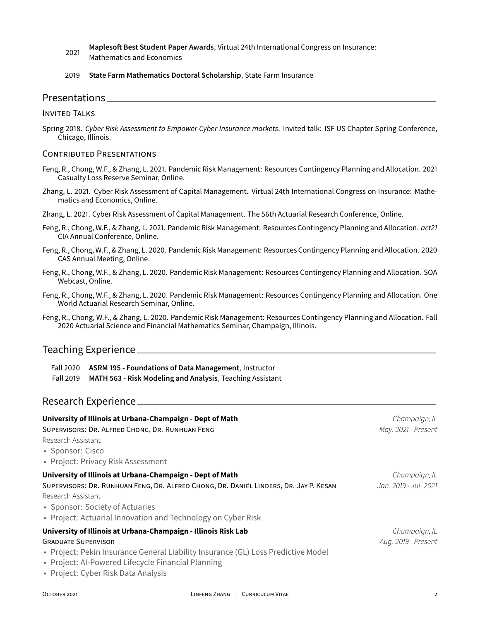- 2021 **Maplesoft Best Student Paper Awards**, Virtual 24th International Congress on Insurance: Mathematics and Economics
- 2019 **State Farm Mathematics Doctoral Scholarship**, State Farm Insurance

### Presentations

#### INVITED TALKS

Spring 2018. *Cyber Risk Assessment to Empower Cyber Insurance markets*. Invited talk: ISF US Chapter Spring Conference, Chicago, Illinois.

#### CONTRIBUTED PRESENTATIONS

- Feng, R., Chong, W.F., & Zhang, L. 2021. Pandemic Risk Management: Resources Contingency Planning and Allocation. 2021 Casualty Loss Reserve Seminar, Online.
- Zhang, L. 2021. Cyber Risk Assessment of Capital Management. Virtual 24th International Congress on Insurance: Mathematics and Economics, Online.
- Zhang, L. 2021. Cyber Risk Assessment of Capital Management. The 56th Actuarial Research Conference, Online.
- Feng, R., Chong, W.F., & Zhang, L. 2021. Pandemic Risk Management: Resources Contingency Planning and Allocation. *act21* CIA Annual Conference, Online.
- Feng, R., Chong, W.F., & Zhang, L. 2020. Pandemic Risk Management: Resources Contingency Planning and Allocation. 2020 CAS Annual Meeting, Online.
- Feng, R., Chong, W.F., & Zhang, L. 2020. Pandemic Risk Management: Resources Contingency Planning and Allocation. SOA Webcast, Online.
- Feng, R., Chong, W.F., & Zhang, L. 2020. Pandemic Risk Management: Resources Contingency Planning and Allocation. One World Actuarial Research Seminar, Online.
- Feng, R., Chong, W.F., & Zhang, L. 2020. Pandemic Risk Management: Resources Contingency Planning and Allocation. Fall 2020 Actuarial Science and Financial Mathematics Seminar, Champaign, Illinois.

## Teaching Experience

Fall 2020 **ASRM 195 - Foundations of Data Management**, Instructor Fall 2019 **MATH 563 - Risk Modeling and Analysis**, Teaching Assistant

## Research Experience

| University of Illinois at Urbana-Champaign - Dept of Math                             | Champaign, IL         |
|---------------------------------------------------------------------------------------|-----------------------|
| SUPERVISORS: DR. ALFRED CHONG, DR. RUNHUAN FENG                                       | May. 2021 - Present   |
| Research Assistant                                                                    |                       |
| • Sponsor: Cisco                                                                      |                       |
| • Project: Privacy Risk Assessment                                                    |                       |
| University of Illinois at Urbana-Champaign - Dept of Math                             | Champaign, IL         |
| SUPERVISORS: DR. RUNHUAN FENG, DR. ALFRED CHONG, DR. DANIËL LINDERS, DR. JAY P. KESAN | Jan. 2019 - Jul. 2021 |
| Research Assistant                                                                    |                       |
| • Sponsor: Society of Actuaries                                                       |                       |
| • Project: Actuarial Innovation and Technology on Cyber Risk                          |                       |
| University of Illinois at Urbana-Champaign - Illinois Risk Lab                        | Champaign, IL         |
| <b>GRADUATE SUPERVISOR</b>                                                            | Aug. 2019 - Present   |
| • Project: Pekin Insurance General Liability Insurance (GL) Loss Predictive Model     |                       |
| • Project: Al-Powered Lifecycle Financial Planning                                    |                       |
| • Project: Cyber Risk Data Analysis                                                   |                       |
|                                                                                       |                       |